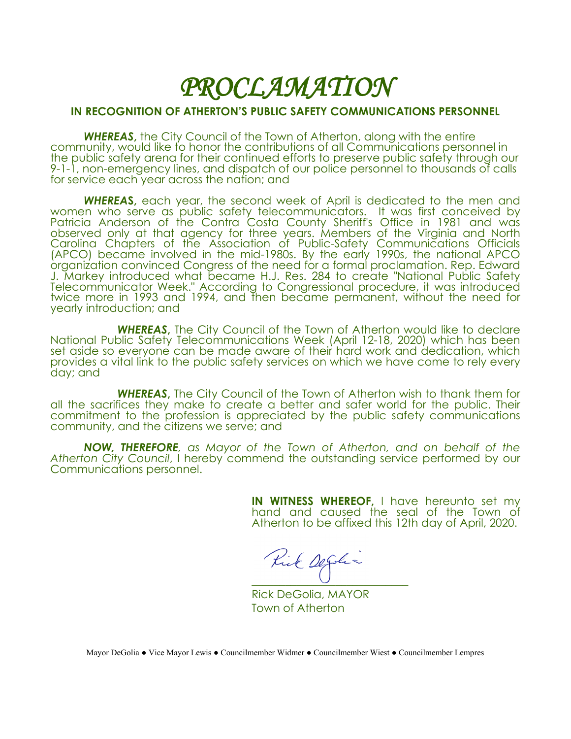## *PROCLAMATION*

## **IN RECOGNITION OF ATHERTON'S PUBLIC SAFETY COMMUNICATIONS PERSONNEL**

*WHEREAS***,** the City Council of the Town of Atherton, along with the entire community, would like to honor the contributions of all Communications personnel in the public safety arena for their continued efforts to preserve public safety through our 9-1-1, non-emergency lines, and dispatch of our police personnel to thousands of calls for service each year across the nation; and

*WHEREA***S,** each year, the second week of April is dedicated to the men and women who serve as public safety telecommunicators. It was first conceived by Patricia Anderson of the Contra Costa County Sheriff's Office in 1981 and was observed only at that agency for three years. Members of the Virginia and North Carolina Chapters of the Association of Public-Safety Communications Officials (APCO) became involved in the mid-1980s. By the early 1990s, the national APCO organization convinced Congress of the need for a formal proclamation. Rep. Edward J. Markey introduced what became H.J. Res. 284 to create "National Public Safety Telecommunicator Week." According to Congressional procedure, it was introduced twice more in 1993 and 1994, and then became permanent, without the need for yearly introduction; and

*WHEREAS***,** The City Council of the Town of Atherton would like to declare National Public Safety Telecommunications Week (April 12-18, 2020) which has been set aside so everyone can be made aware of their hard work and dedication, which provides a vital link to the public safety services on which we have come to rely every day; and

*WHEREAS***,** The City Council of the Town of Atherton wish to thank them for all the sacrifices they make to create a better and safer world for the public. Their commitment to the profession is appreciated by the public safety communications community, and the citizens we serve; and

*NOW, THEREFORE, as Mayor of the Town of Atherton, and on behalf of the Atherton City Council*, I hereby commend the outstanding service performed by our Communications personnel.

> **IN WITNESS WHEREOF, I have hereunto set my** hand and caused the seal of the Town of Atherton to be affixed this 12th day of April, 2020.

Kik Degoli

Rick DeGolia, MAYOR Town of Atherton

Mayor DeGolia ● Vice Mayor Lewis ● Councilmember Widmer ● Councilmember Wiest ● Councilmember Lempres